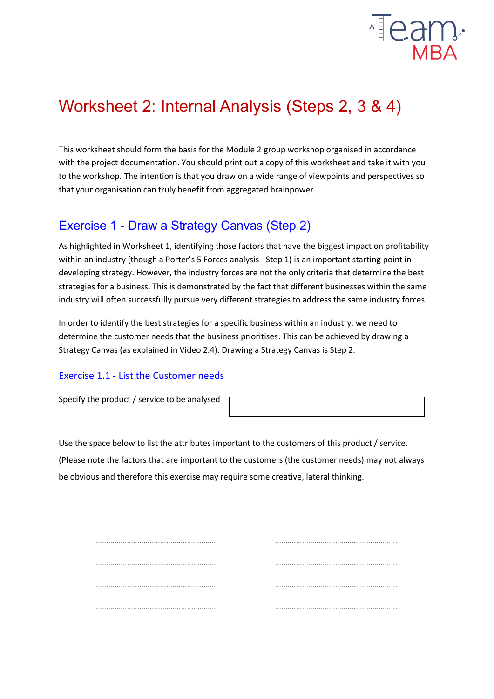

# Worksheet 2: Internal Analysis (Steps 2, 3 & 4)

This worksheet should form the basis for the Module 2 group workshop organised in accordance with the project documentation. You should print out a copy of this worksheet and take it with you to the workshop. The intention is that you draw on a wide range of viewpoints and perspectives so that your organisation can truly benefit from aggregated brainpower.

## Exercise 1 - Draw a Strategy Canvas (Step 2)

As highlighted in Worksheet 1, identifying those factors that have the biggest impact on profitability within an industry (though a Porter's 5 Forces analysis - Step 1) is an important starting point in developing strategy. However, the industry forces are not the only criteria that determine the best strategies for a business. This is demonstrated by the fact that different businesses within the same industry will often successfully pursue very different strategies to address the same industry forces.

In order to identify the best strategies for a specific business within an industry, we need to determine the customer needs that the business prioritises. This can be achieved by drawing a Strategy Canvas (as explained in Video 2.4). Drawing a Strategy Canvas is Step 2.

## Exercise 1.1 - List the Customer needs

Specify the product / service to be analysed

Use the space below to list the attributes important to the customers of this product / service.

(Please note the factors that are important to the customers (the customer needs) may not always be obvious and therefore this exercise may require some creative, lateral thinking.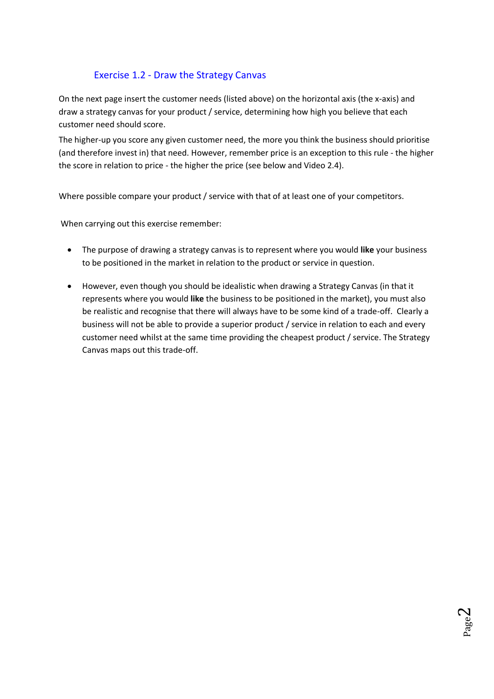## Exercise 1.2 - Draw the Strategy Canvas

On the next page insert the customer needs (listed above) on the horizontal axis (the x-axis) and draw a strategy canvas for your product / service, determining how high you believe that each customer need should score.

The higher-up you score any given customer need, the more you think the business should prioritise (and therefore invest in) that need. However, remember price is an exception to this rule - the higher the score in relation to price - the higher the price (see below and Video 2.4).

Where possible compare your product / service with that of at least one of your competitors.

When carrying out this exercise remember:

- The purpose of drawing a strategy canvas is to represent where you would **like** your business to be positioned in the market in relation to the product or service in question.
- However, even though you should be idealistic when drawing a Strategy Canvas (in that it represents where you would **like** the business to be positioned in the market), you must also be realistic and recognise that there will always have to be some kind of a trade-off. Clearly a business will not be able to provide a superior product / service in relation to each and every customer need whilst at the same time providing the cheapest product / service. The Strategy Canvas maps out this trade-off.

Page  $\boldsymbol{\sim}$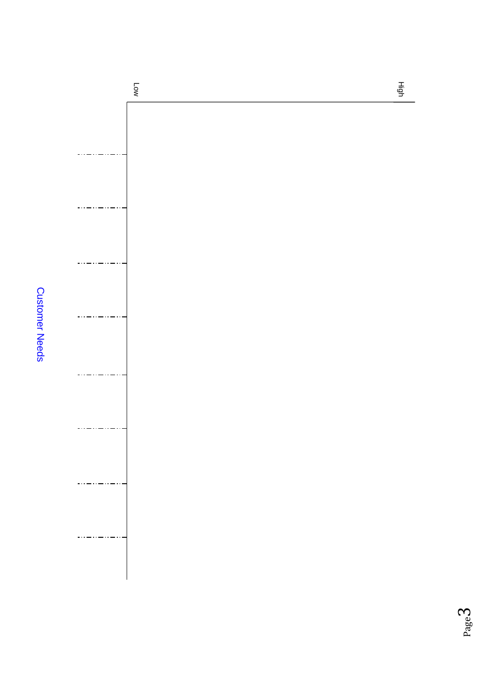**Customer Needs** Customer Needs

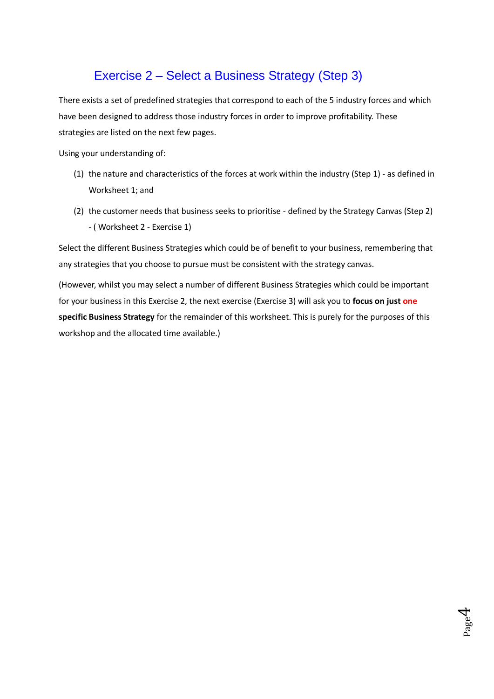## Exercise 2 – Select a Business Strategy (Step 3)

There exists a set of predefined strategies that correspond to each of the 5 industry forces and which have been designed to address those industry forces in order to improve profitability. These strategies are listed on the next few pages.

Using your understanding of:

- (1) the nature and characteristics of the forces at work within the industry (Step 1) as defined in Worksheet 1; and
- (2) the customer needs that business seeks to prioritise defined by the Strategy Canvas (Step 2) - ( Worksheet 2 - Exercise 1)

Select the different Business Strategies which could be of benefit to your business, remembering that any strategies that you choose to pursue must be consistent with the strategy canvas.

(However, whilst you may select a number of different Business Strategies which could be important for your business in this Exercise 2, the next exercise (Exercise 3) will ask you to **focus on just one specific Business Strategy** for the remainder of this worksheet. This is purely for the purposes of this workshop and the allocated time available.)

Page  $\mathcal{A}$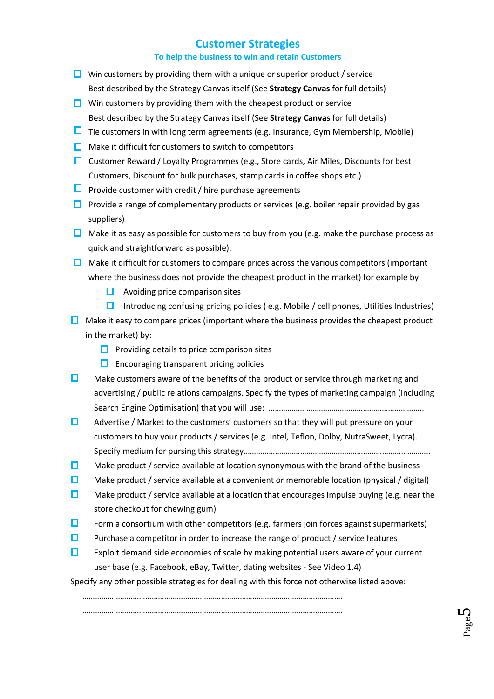## **Customer Strategies**

#### **To help the business to win and retain Customers**

- $\Box$  Win customers by providing them with a unique or superior product / service Best described by the Strategy Canvas itself (See **Strategy Canvas** for full details)
- $\Box$  Win customers by providing them with the cheapest product or service Best described by the Strategy Canvas itself (See **Strategy Canvas** for full details)
- $\Box$  Tie customers in with long term agreements (e.g. Insurance, Gym Membership, Mobile)
- $\Box$  Make it difficult for customers to switch to competitors
- Customer Reward / Loyalty Programmes (e.g., Store cards, Air Miles, Discounts for best Customers, Discount for bulk purchases, stamp cards in coffee shops etc.)
- **P** Provide customer with credit / hire purchase agreements
- **Provide a range of complementary products or services (e.g. boiler repair provided by gas** suppliers)
- $\Box$  Make it as easy as possible for customers to buy from you (e.g. make the purchase process as quick and straightforward as possible).
- $\Box$  Make it difficult for customers to compare prices across the various competitors (important where the business does not provide the cheapest product in the market) for example by:
	- $\Box$  Avoiding price comparison sites
	- Introducing confusing pricing policies (e.g. Mobile / cell phones, Utilities Industries)
- $\Box$  Make it easy to compare prices (important where the business provides the cheapest product in the market) by:
	- $\Box$  Providing details to price comparison sites
	- $\Box$  Encouraging transparent pricing policies
- $\Box$  Make customers aware of the benefits of the product or service through marketing and advertising / public relations campaigns. Specify the types of marketing campaign (including Search Engine Optimisation) that you will use: ………………………………………………………………………………………
- $\Box$  Advertise / Market to the customers' customers so that they will put pressure on your customers to buy your products / services (e.g. Intel, Teflon, Dolby, NutraSweet, Lycra). Specify medium for pursing this strategy……………………………………………………………………………..
- $\Box$  Make product / service available at location synonymous with the brand of the business
- $\square$  Make product / service available at a convenient or memorable location (physical / digital)
- $\Box$  Make product / service available at a location that encourages impulse buying (e.g. near the store checkout for chewing gum)
- $\Box$  Form a consortium with other competitors (e.g. farmers join forces against supermarkets)
- $\Box$  Purchase a competitor in order to increase the range of product / service features
- **EXPLO** Exploit demand side economies of scale by making potential users aware of your current user base (e.g. Facebook, eBay, Twitter, dating websites - See Video 1.4)

Specify any other possible strategies for dealing with this force not otherwise listed above: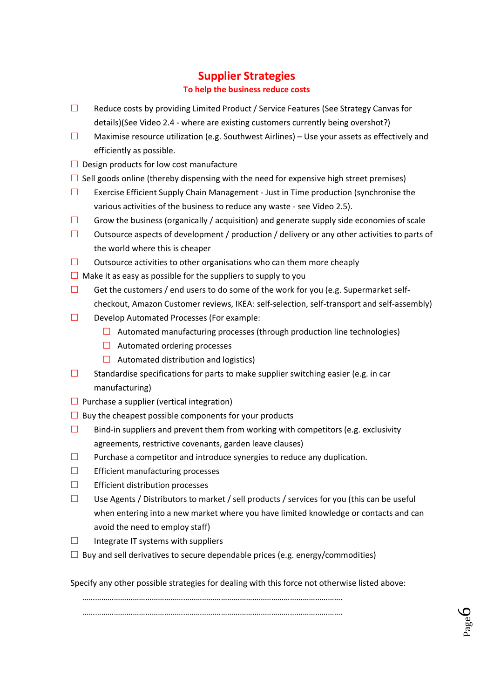## **Supplier Strategies To help the business reduce costs**

- $\square$  Reduce costs by providing Limited Product / Service Features (See Strategy Canvas for details)(See Video 2.4 - where are existing customers currently being overshot?)
- **Maximise resource utilization (e.g. Southwest Airlines) Use your assets as effectively and** efficiently as possible.
- $\Box$  Design products for low cost manufacture
- $\square$  Sell goods online (thereby dispensing with the need for expensive high street premises)
- **Exercise Efficient Supply Chain Management Just in Time production (synchronise the** various activities of the business to reduce any waste - see Video 2.5).
- $\square$  Grow the business (organically / acquisition) and generate supply side economies of scale
- $\square$  Outsource aspects of development / production / delivery or any other activities to parts of the world where this is cheaper
- $\Box$  Outsource activities to other organisations who can them more cheaply
- $\Box$  Make it as easy as possible for the suppliers to supply to you
- Get the customers / end users to do some of the work for you (e.g. Supermarket selfcheckout, Amazon Customer reviews, IKEA: self-selection, self-transport and self-assembly)
- $\Box$  Develop Automated Processes (For example:
	- $\Box$  Automated manufacturing processes (through production line technologies)
	- $\Box$  Automated ordering processes
	- $\Box$  Automated distribution and logistics)
- Standardise specifications for parts to make supplier switching easier (e.g. in car manufacturing)
- $\Box$  Purchase a supplier (vertical integration)
- $\Box$  Buy the cheapest possible components for your products
- $\square$  Bind-in suppliers and prevent them from working with competitors (e.g. exclusivity agreements, restrictive covenants, garden leave clauses)
- $\Box$  Purchase a competitor and introduce synergies to reduce any duplication.
- $\square$  Efficient manufacturing processes
- $\square$  Efficient distribution processes
- $\square$  Use Agents / Distributors to market / sell products / services for you (this can be useful when entering into a new market where you have limited knowledge or contacts and can avoid the need to employ staff)
- $\Box$  Integrate IT systems with suppliers
- $\square$  Buy and sell derivatives to secure dependable prices (e.g. energy/commodities)

Specify any other possible strategies for dealing with this force not otherwise listed above: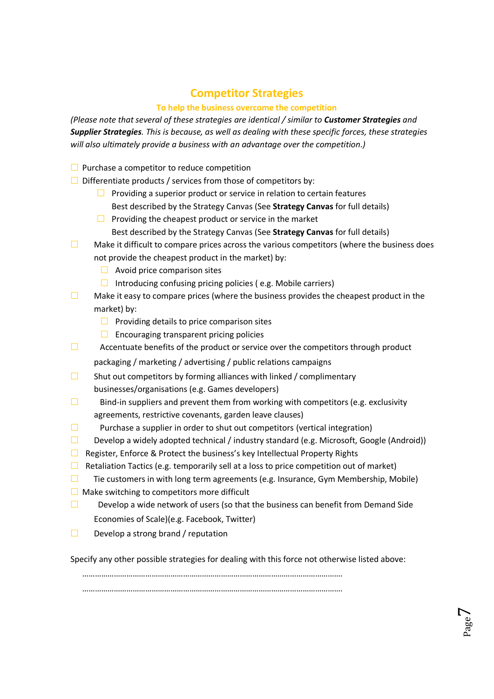## **Competitor Strategies**

## **To help the business overcome the competition**

*(Please note that several of these strategies are identical / similar to Customer Strategies and Supplier Strategies. This is because, as well as dealing with these specific forces, these strategies will also ultimately provide a business with an advantage over the competition.)*

- $\Box$  Purchase a competitor to reduce competition
- $\Box$  Differentiate products / services from those of competitors by:
	- $\Box$  Providing a superior product or service in relation to certain features Best described by the Strategy Canvas (See **Strategy Canvas** for full details)
	- $\Box$  Providing the cheapest product or service in the market
		- Best described by the Strategy Canvas (See **Strategy Canvas** for full details)
- $\square$  Make it difficult to compare prices across the various competitors (where the business does not provide the cheapest product in the market) by:
	- $\Box$  Avoid price comparison sites
	- Introducing confusing pricing policies (e.g. Mobile carriers)
- $\square$  Make it easy to compare prices (where the business provides the cheapest product in the market) by:
	- $\Box$  Providing details to price comparison sites
	- $\Box$  Encouraging transparent pricing policies
- $\Box$  Accentuate benefits of the product or service over the competitors through product packaging / marketing / advertising / public relations campaigns
- $\square$  Shut out competitors by forming alliances with linked / complimentary businesses/organisations (e.g. Games developers)
- $\square$  Bind-in suppliers and prevent them from working with competitors (e.g. exclusivity agreements, restrictive covenants, garden leave clauses)
- **Purchase a supplier in order to shut out competitors (vertical integration)**
- Develop a widely adopted technical / industry standard (e.g. Microsoft, Google (Android))
- **E** Register, Enforce & Protect the business's key Intellectual Property Rights
- $\Box$  Retaliation Tactics (e.g. temporarily sell at a loss to price competition out of market)
- $\square$  Tie customers in with long term agreements (e.g. Insurance, Gym Membership, Mobile)
- $\Box$  Make switching to competitors more difficult
- Develop a wide network of users (so that the business can benefit from Demand Side Economies of Scale)(e.g. Facebook, Twitter)
- $\Box$  Develop a strong brand / reputation

Specify any other possible strategies for dealing with this force not otherwise listed above:

…………………………………………………………………………………………………………….

…………………………………………………………………………………………………………….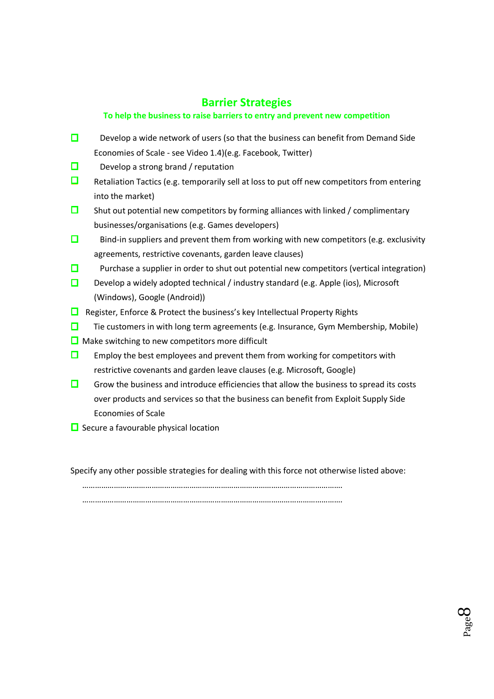## **Barrier Strategies**

## **To help the business to raise barriers to entry and prevent new competition**

- Develop a wide network of users (so that the business can benefit from Demand Side Economies of Scale - see Video 1.4)(e.g. Facebook, Twitter)
- $\square$  Develop a strong brand / reputation
- $\Box$  Retaliation Tactics (e.g. temporarily sell at loss to put off new competitors from entering into the market)
- $\square$  Shut out potential new competitors by forming alliances with linked / complimentary businesses/organisations (e.g. Games developers)
- $\square$  Bind-in suppliers and prevent them from working with new competitors (e.g. exclusivity agreements, restrictive covenants, garden leave clauses)
- **Purchase a supplier in order to shut out potential new competitors (vertical integration)**
- Develop a widely adopted technical / industry standard (e.g. Apple (ios), Microsoft (Windows), Google (Android))
- $\Box$  Register, Enforce & Protect the business's key Intellectual Property Rights
- $\Box$  Tie customers in with long term agreements (e.g. Insurance, Gym Membership, Mobile)
- $\Box$  Make switching to new competitors more difficult
- **EM** Employ the best employees and prevent them from working for competitors with restrictive covenants and garden leave clauses (e.g. Microsoft, Google)
- $\Box$  Grow the business and introduce efficiencies that allow the business to spread its costs over products and services so that the business can benefit from Exploit Supply Side Economies of Scale
- $\Box$  Secure a favourable physical location

Specify any other possible strategies for dealing with this force not otherwise listed above:

Page  $\infty$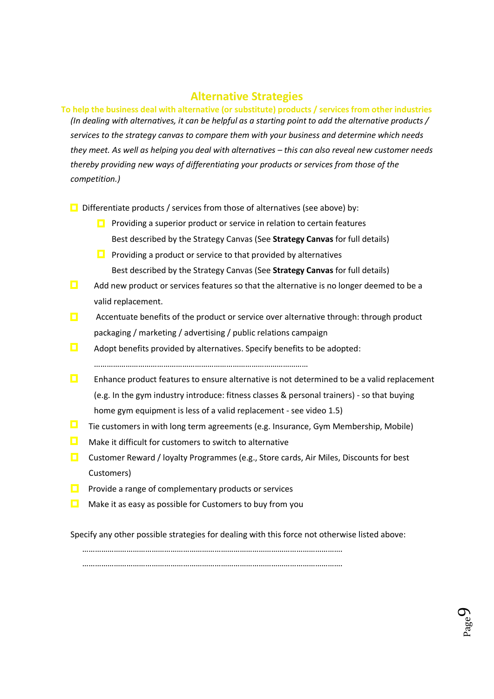## **Alternative Strategies**

**To help the business deal with alternative (or substitute) products / services from other industries** *(In dealing with alternatives, it can be helpful as a starting point to add the alternative products / services to the strategy canvas to compare them with your business and determine which needs they meet. As well as helping you deal with alternatives – this can also reveal new customer needs thereby providing new ways of differentiating your products or services from those of the competition.)*

 $\Box$  Differentiate products / services from those of alternatives (see above) by:

- $\Box$  Providing a superior product or service in relation to certain features Best described by the Strategy Canvas (See **Strategy Canvas** for full details)
- **Providing a product or service to that provided by alternatives** Best described by the Strategy Canvas (See **Strategy Canvas** for full details)
- $\Box$  Add new product or services features so that the alternative is no longer deemed to be a valid replacement.
- $\Box$  Accentuate benefits of the product or service over alternative through: through product packaging / marketing / advertising / public relations campaign
- $\Box$  Adopt benefits provided by alternatives. Specify benefits to be adopted:

…………………………………………………………………………………………

- **E** Enhance product features to ensure alternative is not determined to be a valid replacement (e.g. In the gym industry introduce: fitness classes & personal trainers) - so that buying home gym equipment is less of a valid replacement - see video 1.5)
- $\Box$  Tie customers in with long term agreements (e.g. Insurance, Gym Membership, Mobile)
- Make it difficult for customers to switch to alternative
- **Customer Reward / loyalty Programmes (e.g., Store cards, Air Miles, Discounts for best** Customers)
- Provide a range of complementary products or services
- Make it as easy as possible for Customers to buy from you

Specify any other possible strategies for dealing with this force not otherwise listed above: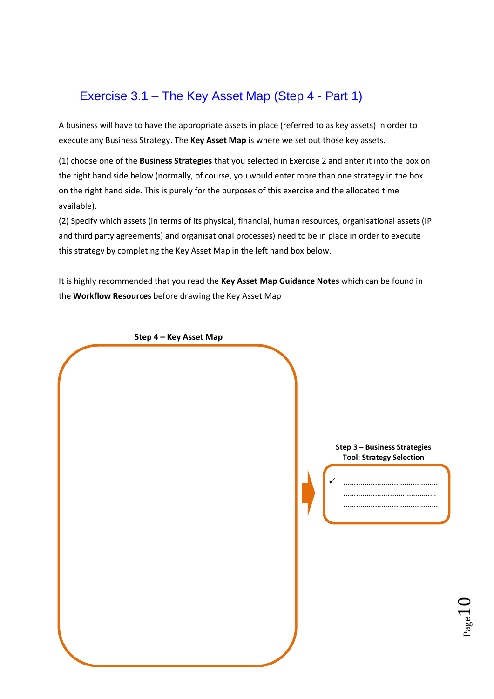## Exercise 3.1 – The Key Asset Map (Step 4 - Part 1)

A business will have to have the appropriate assets in place (referred to as key assets) in order to execute any Business Strategy. The **Key Asset Map** is where we set out those key assets.

(1) choose one of the **Business Strategies** that you selected in Exercise 2 and enter it into the box on the right hand side below (normally, of course, you would enter more than one strategy in the box on the right hand side. This is purely for the purposes of this exercise and the allocated time available).

(2) Specify which assets (in terms of its physical, financial, human resources, organisational assets (IP and third party agreements) and organisational processes) need to be in place in order to execute this strategy by completing the Key Asset Map in the left hand box below.

It is highly recommended that you read the **Key Asset Map Guidance Notes** which can be found in the **Workflow Resources** before drawing the Key Asset Map

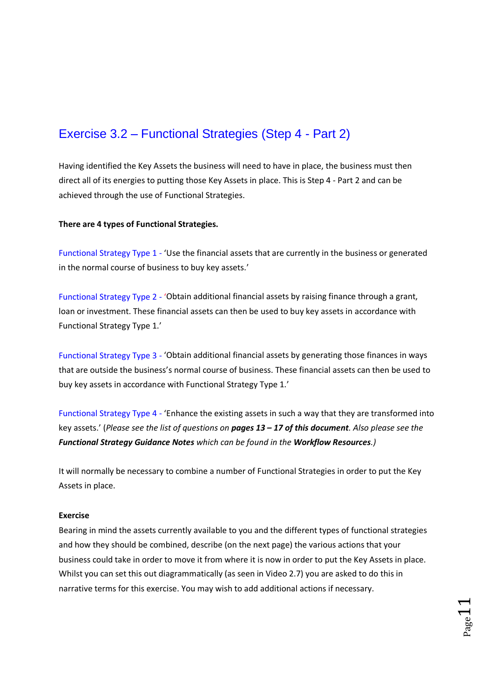## Exercise 3.2 – Functional Strategies (Step 4 - Part 2)

Having identified the Key Assets the business will need to have in place, the business must then direct all of its energies to putting those Key Assets in place. This is Step 4 - Part 2 and can be achieved through the use of Functional Strategies.

#### **There are 4 types of Functional Strategies.**

Functional Strategy Type 1 - 'Use the financial assets that are currently in the business or generated in the normal course of business to buy key assets.'

Functional Strategy Type 2 - 'Obtain additional financial assets by raising finance through a grant, loan or investment. These financial assets can then be used to buy key assets in accordance with Functional Strategy Type 1.'

Functional Strategy Type 3 - 'Obtain additional financial assets by generating those finances in ways that are outside the business's normal course of business. These financial assets can then be used to buy key assets in accordance with Functional Strategy Type 1.'

Functional Strategy Type 4 - 'Enhance the existing assets in such a way that they are transformed into key assets.' (*Please see the list of questions on pages 13 – 17 of this document. Also please see the Functional Strategy Guidance Notes which can be found in the Workflow Resources.)*

It will normally be necessary to combine a number of Functional Strategies in order to put the Key Assets in place.

#### **Exercise**

Bearing in mind the assets currently available to you and the different types of functional strategies and how they should be combined, describe (on the next page) the various actions that your business could take in order to move it from where it is now in order to put the Key Assets in place. Whilst you can set this out diagrammatically (as seen in Video 2.7) you are asked to do this in narrative terms for this exercise. You may wish to add additional actions if necessary.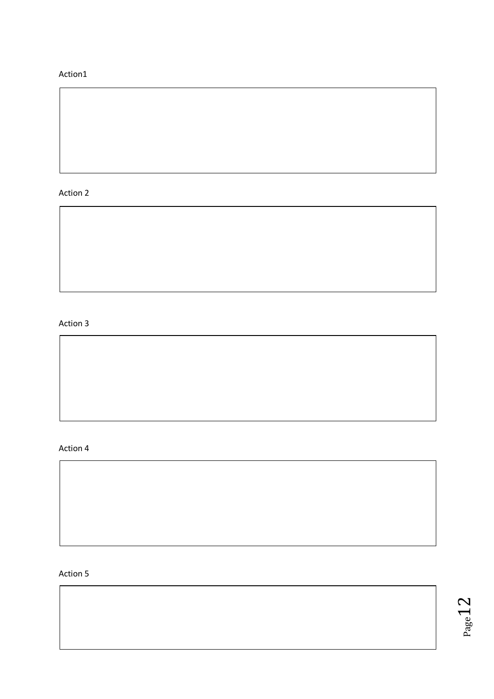## Action1

## Action 2

## Action 3

#### Action 4

### Action 5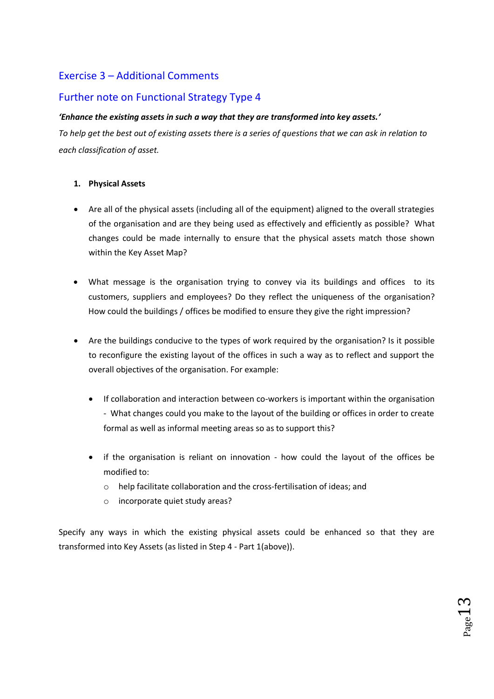## Exercise 3 – Additional Comments

## Further note on Functional Strategy Type 4

### *'Enhance the existing assets in such a way that they are transformed into key assets.'*

*To help get the best out of existing assets there is a series of questions that we can ask in relation to each classification of asset.*

### **1. Physical Assets**

- Are all of the physical assets (including all of the equipment) aligned to the overall strategies of the organisation and are they being used as effectively and efficiently as possible? What changes could be made internally to ensure that the physical assets match those shown within the Key Asset Map?
- What message is the organisation trying to convey via its buildings and offices to its customers, suppliers and employees? Do they reflect the uniqueness of the organisation? How could the buildings / offices be modified to ensure they give the right impression?
- Are the buildings conducive to the types of work required by the organisation? Is it possible to reconfigure the existing layout of the offices in such a way as to reflect and support the overall objectives of the organisation. For example:
	- If collaboration and interaction between co-workers is important within the organisation - What changes could you make to the layout of the building or offices in order to create formal as well as informal meeting areas so as to support this?
	- if the organisation is reliant on innovation how could the layout of the offices be modified to:
		- o help facilitate collaboration and the cross-fertilisation of ideas; and
		- o incorporate quiet study areas?

Specify any ways in which the existing physical assets could be enhanced so that they are transformed into Key Assets (as listed in Step 4 - Part 1(above)).

 $_{\rm Page}$ 13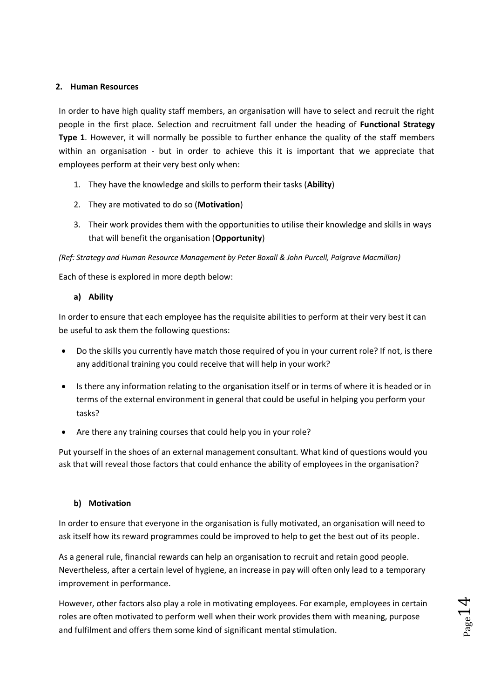#### **2. Human Resources**

In order to have high quality staff members, an organisation will have to select and recruit the right people in the first place. Selection and recruitment fall under the heading of **Functional Strategy Type 1**. However, it will normally be possible to further enhance the quality of the staff members within an organisation - but in order to achieve this it is important that we appreciate that employees perform at their very best only when:

- 1. They have the knowledge and skills to perform their tasks (**Ability**)
- 2. They are motivated to do so (**Motivation**)
- 3. Their work provides them with the opportunities to utilise their knowledge and skills in ways that will benefit the organisation (**Opportunity**)

#### *(Ref: Strategy and Human Resource Management by Peter Boxall & John Purcell, Palgrave Macmillan)*

Each of these is explored in more depth below:

**a) Ability** 

In order to ensure that each employee has the requisite abilities to perform at their very best it can be useful to ask them the following questions:

- Do the skills you currently have match those required of you in your current role? If not, is there any additional training you could receive that will help in your work?
- Is there any information relating to the organisation itself or in terms of where it is headed or in terms of the external environment in general that could be useful in helping you perform your tasks?
- Are there any training courses that could help you in your role?

Put yourself in the shoes of an external management consultant. What kind of questions would you ask that will reveal those factors that could enhance the ability of employees in the organisation?

### **b) Motivation**

In order to ensure that everyone in the organisation is fully motivated, an organisation will need to ask itself how its reward programmes could be improved to help to get the best out of its people.

As a general rule, financial rewards can help an organisation to recruit and retain good people. Nevertheless, after a certain level of hygiene, an increase in pay will often only lead to a temporary improvement in performance.

However, other factors also play a role in motivating employees. For example, employees in certain roles are often motivated to perform well when their work provides them with meaning, purpose and fulfilment and offers them some kind of significant mental stimulation.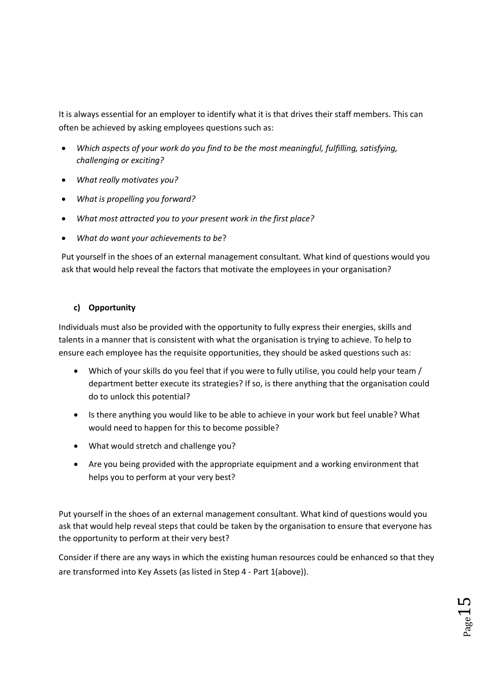It is always essential for an employer to identify what it is that drives their staff members. This can often be achieved by asking employees questions such as:

- *Which aspects of your work do you find to be the most meaningful, fulfilling, satisfying, challenging or exciting?*
- *What really motivates you?*
- *What is propelling you forward?*
- *What most attracted you to your present work in the first place?*
- *What do want your achievements to be*?

Put yourself in the shoes of an external management consultant. What kind of questions would you ask that would help reveal the factors that motivate the employees in your organisation?

## **c) Opportunity**

Individuals must also be provided with the opportunity to fully express their energies, skills and talents in a manner that is consistent with what the organisation is trying to achieve. To help to ensure each employee has the requisite opportunities, they should be asked questions such as:

- Which of your skills do you feel that if you were to fully utilise, you could help your team / department better execute its strategies? If so, is there anything that the organisation could do to unlock this potential?
- Is there anything you would like to be able to achieve in your work but feel unable? What would need to happen for this to become possible?
- What would stretch and challenge you?
- Are you being provided with the appropriate equipment and a working environment that helps you to perform at your very best?

Put yourself in the shoes of an external management consultant. What kind of questions would you ask that would help reveal steps that could be taken by the organisation to ensure that everyone has the opportunity to perform at their very best?

Consider if there are any ways in which the existing human resources could be enhanced so that they are transformed into Key Assets (as listed in Step 4 - Part 1(above)).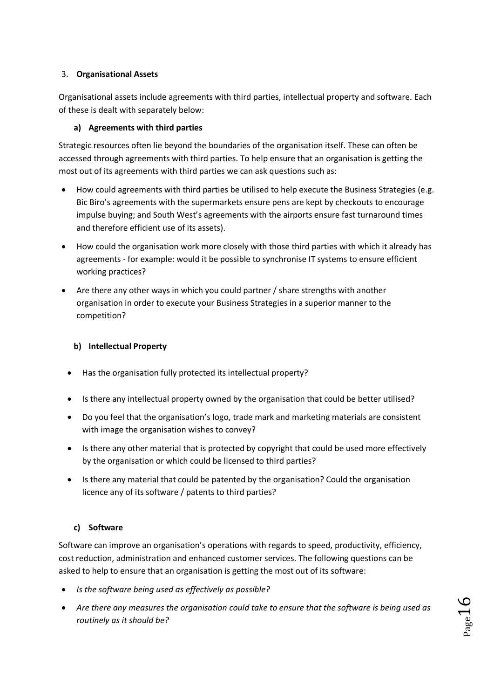## 3. **Organisational Assets**

Organisational assets include agreements with third parties, intellectual property and software. Each of these is dealt with separately below:

## **a) Agreements with third parties**

Strategic resources often lie beyond the boundaries of the organisation itself. These can often be accessed through agreements with third parties. To help ensure that an organisation is getting the most out of its agreements with third parties we can ask questions such as:

- How could agreements with third parties be utilised to help execute the Business Strategies (e.g. Bic Biro's agreements with the supermarkets ensure pens are kept by checkouts to encourage impulse buying; and South West's agreements with the airports ensure fast turnaround times and therefore efficient use of its assets).
- How could the organisation work more closely with those third parties with which it already has agreements - for example: would it be possible to synchronise IT systems to ensure efficient working practices?
- Are there any other ways in which you could partner / share strengths with another organisation in order to execute your Business Strategies in a superior manner to the competition?

## **b) Intellectual Property**

- Has the organisation fully protected its intellectual property?
- Is there any intellectual property owned by the organisation that could be better utilised?
- Do you feel that the organisation's logo, trade mark and marketing materials are consistent with image the organisation wishes to convey?
- Is there any other material that is protected by copyright that could be used more effectively by the organisation or which could be licensed to third parties?
- Is there any material that could be patented by the organisation? Could the organisation licence any of its software / patents to third parties?

## **c) Software**

Software can improve an organisation's operations with regards to speed, productivity, efficiency, cost reduction, administration and enhanced customer services. The following questions can be asked to help to ensure that an organisation is getting the most out of its software:

- *Is the software being used as effectively as possible?*
- *Are there any measures the organisation could take to ensure that the software is being used as routinely as it should be?*

 $_{\rm Page}16$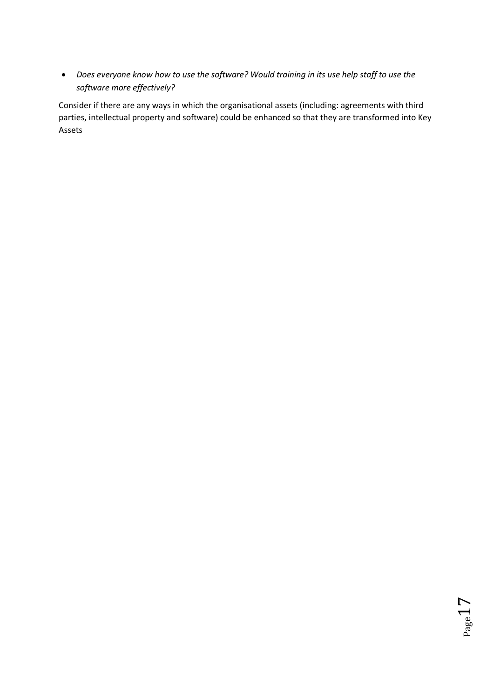• *Does everyone know how to use the software? Would training in its use help staff to use the software more effectively?*

Consider if there are any ways in which the organisational assets (including: agreements with third parties, intellectual property and software) could be enhanced so that they are transformed into Key Assets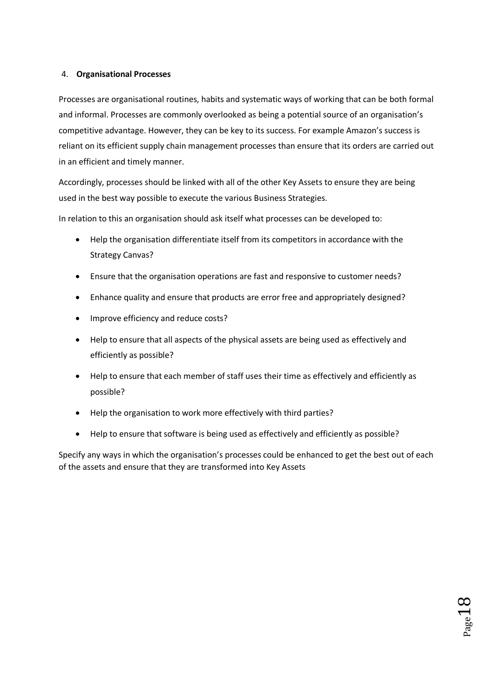### 4. **Organisational Processes**

Processes are organisational routines, habits and systematic ways of working that can be both formal and informal. Processes are commonly overlooked as being a potential source of an organisation's competitive advantage. However, they can be key to its success. For example Amazon's success is reliant on its efficient supply chain management processes than ensure that its orders are carried out in an efficient and timely manner.

Accordingly, processes should be linked with all of the other Key Assets to ensure they are being used in the best way possible to execute the various Business Strategies.

In relation to this an organisation should ask itself what processes can be developed to:

- Help the organisation differentiate itself from its competitors in accordance with the Strategy Canvas?
- Ensure that the organisation operations are fast and responsive to customer needs?
- Enhance quality and ensure that products are error free and appropriately designed?
- Improve efficiency and reduce costs?
- Help to ensure that all aspects of the physical assets are being used as effectively and efficiently as possible?
- Help to ensure that each member of staff uses their time as effectively and efficiently as possible?
- Help the organisation to work more effectively with third parties?
- Help to ensure that software is being used as effectively and efficiently as possible?

Specify any ways in which the organisation's processes could be enhanced to get the best out of each of the assets and ensure that they are transformed into Key Assets